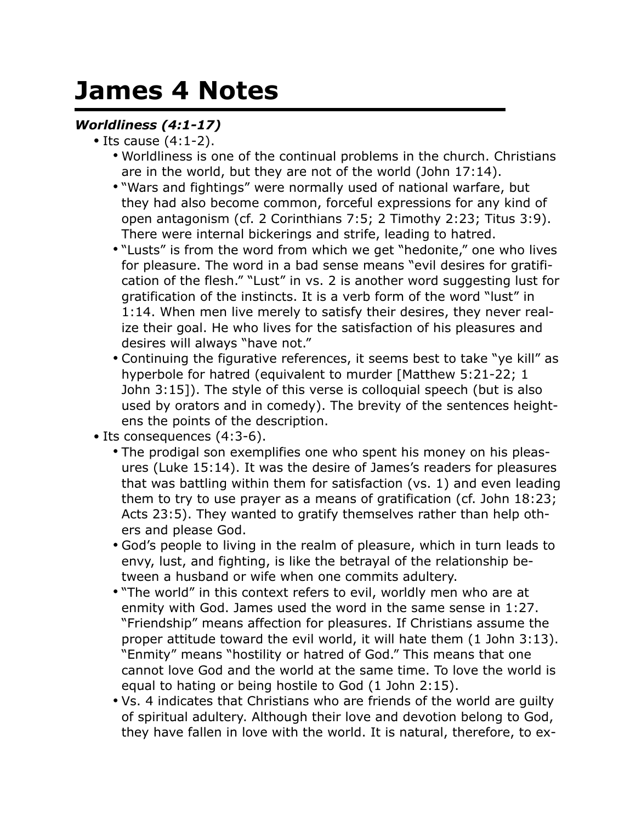## **James 4 Notes**

## *Worldliness (4:1-17)*

- Its cause (4:1-2).
	- Worldliness is one of the continual problems in the church. Christians are in the world, but they are not of the world (John 17:14).
	- "Wars and fightings" were normally used of national warfare, but they had also become common, forceful expressions for any kind of open antagonism (cf. 2 Corinthians 7:5; 2 Timothy 2:23; Titus 3:9). There were internal bickerings and strife, leading to hatred.
	- "Lusts" is from the word from which we get "hedonite," one who lives for pleasure. The word in a bad sense means "evil desires for gratification of the flesh." "Lust" in vs. 2 is another word suggesting lust for gratification of the instincts. It is a verb form of the word "lust" in 1:14. When men live merely to satisfy their desires, they never realize their goal. He who lives for the satisfaction of his pleasures and desires will always "have not."
	- Continuing the figurative references, it seems best to take "ye kill" as hyperbole for hatred (equivalent to murder [Matthew 5:21-22; 1 John 3:15]). The style of this verse is colloquial speech (but is also used by orators and in comedy). The brevity of the sentences heightens the points of the description.
- Its consequences (4:3-6).
	- The prodigal son exemplifies one who spent his money on his pleasures (Luke 15:14). It was the desire of James's readers for pleasures that was battling within them for satisfaction (vs. 1) and even leading them to try to use prayer as a means of gratification (cf. John 18:23; Acts 23:5). They wanted to gratify themselves rather than help others and please God.
	- God's people to living in the realm of pleasure, which in turn leads to envy, lust, and fighting, is like the betrayal of the relationship between a husband or wife when one commits adultery.
	- "The world" in this context refers to evil, worldly men who are at enmity with God. James used the word in the same sense in 1:27. "Friendship" means affection for pleasures. If Christians assume the proper attitude toward the evil world, it will hate them (1 John 3:13). "Enmity" means "hostility or hatred of God." This means that one cannot love God and the world at the same time. To love the world is equal to hating or being hostile to God (1 John 2:15).
	- Vs. 4 indicates that Christians who are friends of the world are guilty of spiritual adultery. Although their love and devotion belong to God, they have fallen in love with the world. It is natural, therefore, to ex-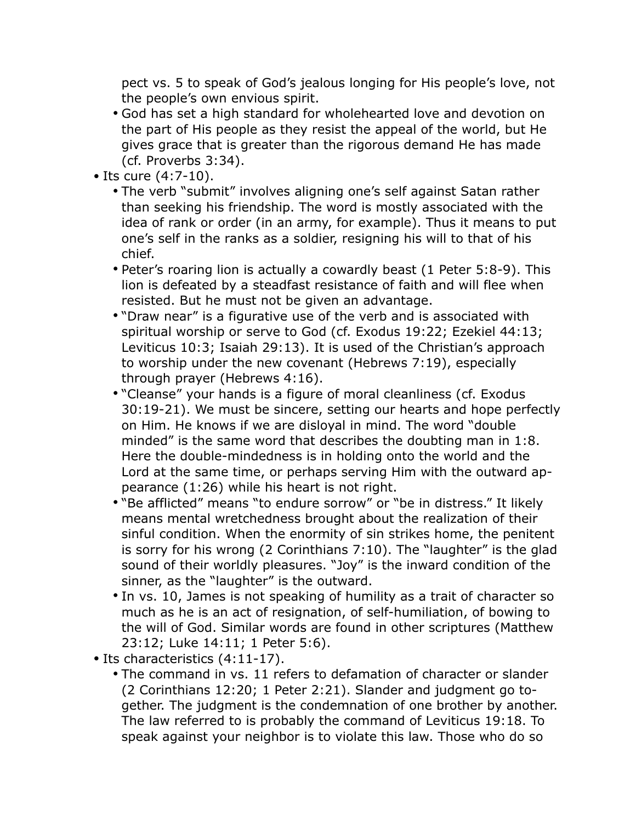pect vs. 5 to speak of God's jealous longing for His people's love, not the people's own envious spirit.

- God has set a high standard for wholehearted love and devotion on the part of His people as they resist the appeal of the world, but He gives grace that is greater than the rigorous demand He has made (cf. Proverbs 3:34).
- Its cure (4:7-10).
	- The verb "submit" involves aligning one's self against Satan rather than seeking his friendship. The word is mostly associated with the idea of rank or order (in an army, for example). Thus it means to put one's self in the ranks as a soldier, resigning his will to that of his chief.
	- Peter's roaring lion is actually a cowardly beast (1 Peter 5:8-9). This lion is defeated by a steadfast resistance of faith and will flee when resisted. But he must not be given an advantage.
	- "Draw near" is a figurative use of the verb and is associated with spiritual worship or serve to God (cf. Exodus 19:22; Ezekiel 44:13; Leviticus 10:3; Isaiah 29:13). It is used of the Christian's approach to worship under the new covenant (Hebrews 7:19), especially through prayer (Hebrews 4:16).
	- "Cleanse" your hands is a figure of moral cleanliness (cf. Exodus 30:19-21). We must be sincere, setting our hearts and hope perfectly on Him. He knows if we are disloyal in mind. The word "double minded" is the same word that describes the doubting man in 1:8. Here the double-mindedness is in holding onto the world and the Lord at the same time, or perhaps serving Him with the outward appearance (1:26) while his heart is not right.
	- "Be afflicted" means "to endure sorrow" or "be in distress." It likely means mental wretchedness brought about the realization of their sinful condition. When the enormity of sin strikes home, the penitent is sorry for his wrong (2 Corinthians 7:10). The "laughter" is the glad sound of their worldly pleasures. "Joy" is the inward condition of the sinner, as the "laughter" is the outward.
	- In vs. 10, James is not speaking of humility as a trait of character so much as he is an act of resignation, of self-humiliation, of bowing to the will of God. Similar words are found in other scriptures (Matthew 23:12; Luke 14:11; 1 Peter 5:6).
- Its characteristics (4:11-17).
	- The command in vs. 11 refers to defamation of character or slander (2 Corinthians 12:20; 1 Peter 2:21). Slander and judgment go together. The judgment is the condemnation of one brother by another. The law referred to is probably the command of Leviticus 19:18. To speak against your neighbor is to violate this law. Those who do so